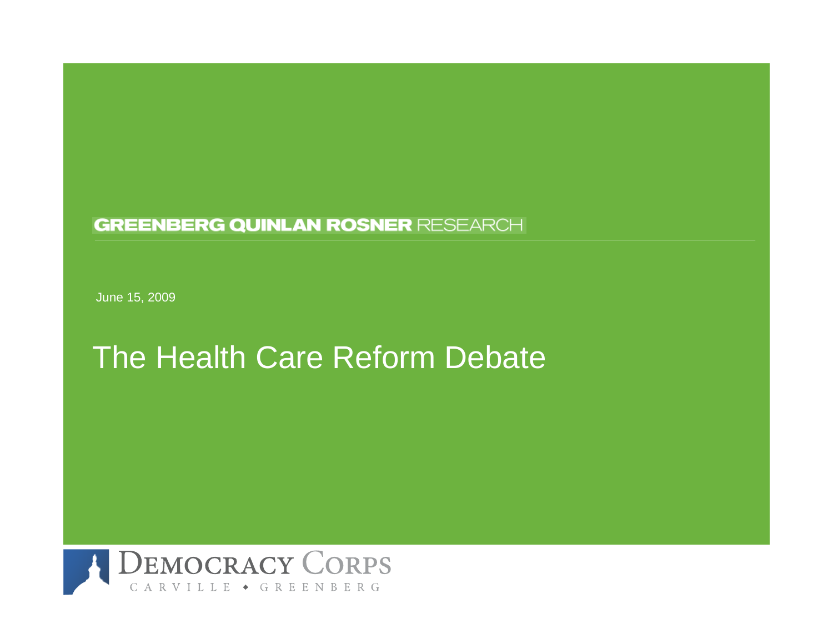#### **GREENBERG QUINLAN ROSNER RESEARCH**

J une 15, 2009

## The Health Care Reform Debate

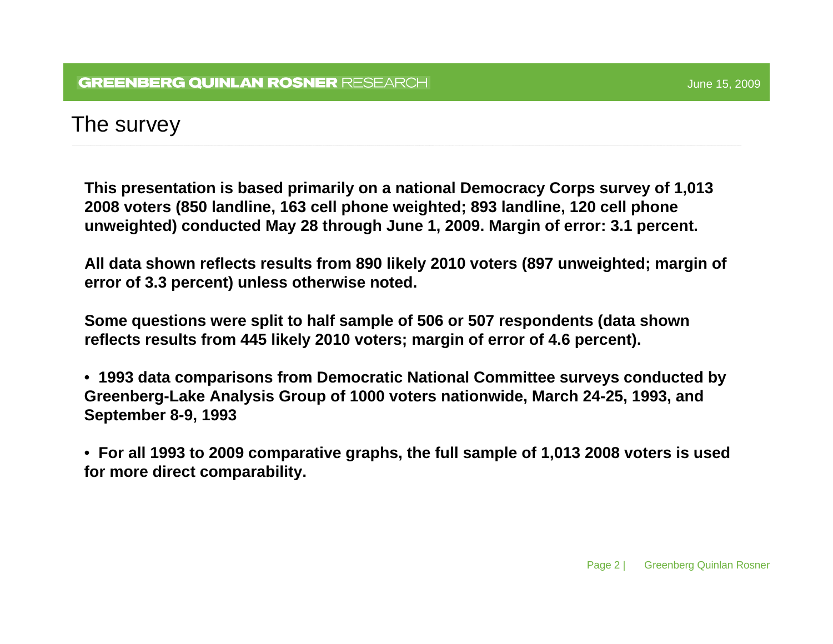### The survey

**This presentation is based primarily on a national Democracy Corps survey of 1,013 2008 voters (850 landline, 163 cell phone weighted; 893 landline, 120 cell phone unweighted) conducted May 28 through June 1, 2009. Margin of error: 3.1 percent.** 

**All data shown reflects results from 890 likely 2010 voters (897 unweighted; margin of error of 3.3 percent) unless otherwise noted.**

**Some questions were split to half sample of 506 or 507 respondents (data shown reflects results from 445 likely 2010 voters; margin of error of 4.6 percent).**

• **1993 data comparisons from Democratic National Committee surveys conducted by Greenberg-Lake Analysis Group of 1000 voters nationwide, March 24-25, 1993, and September 8-9, 1993**

• **For all 1993 to 2009 comparative graphs, the full sample of 1,013 2008 voters is used for more direct comparability.**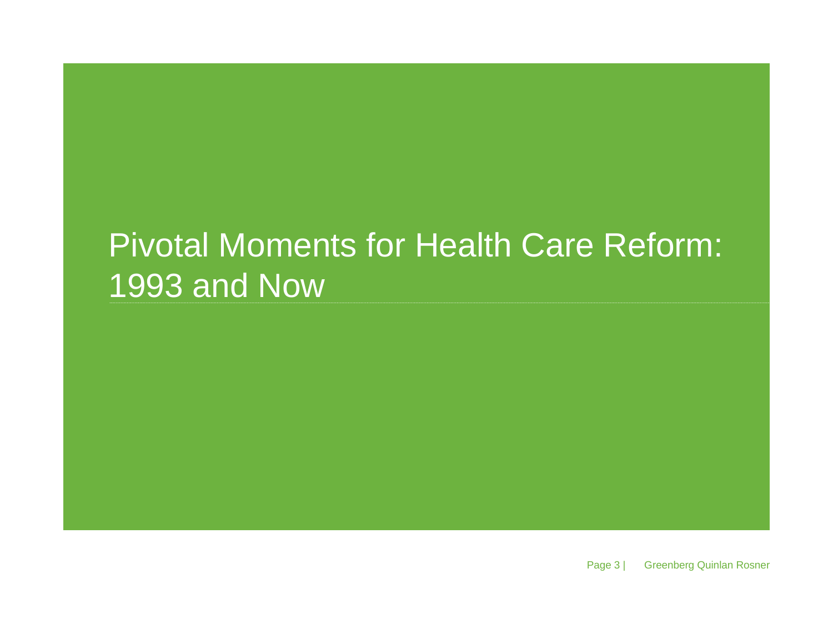# Pivotal Moments for Health Care Reform: 1993 and Now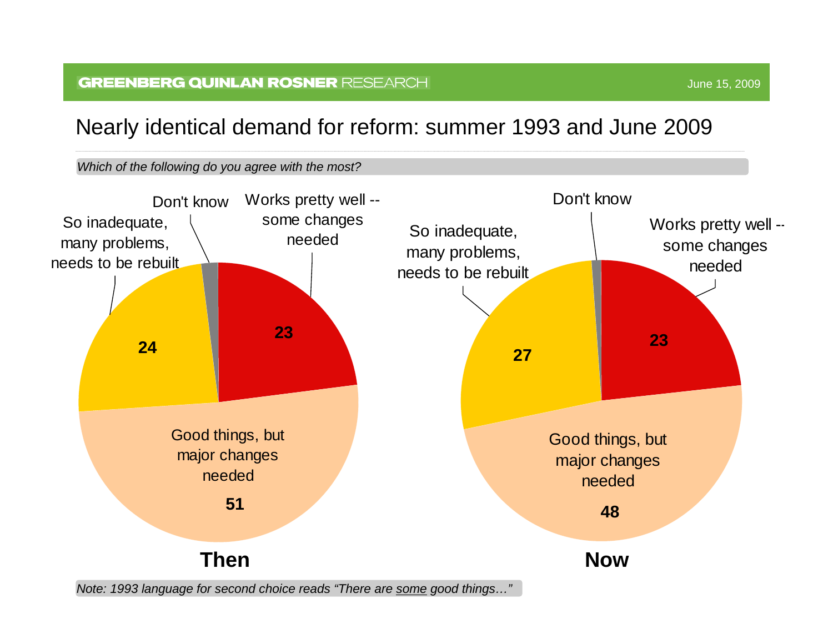#### **GREENBERG QUINLAN ROSNER RESEARCH**

### Nearly identical demand for reform: summer 1993 and June 2009

#### *Which of the following do you agree with the m ost?*



*Note: 1993 language for s econd choice reads "There are some good things…"*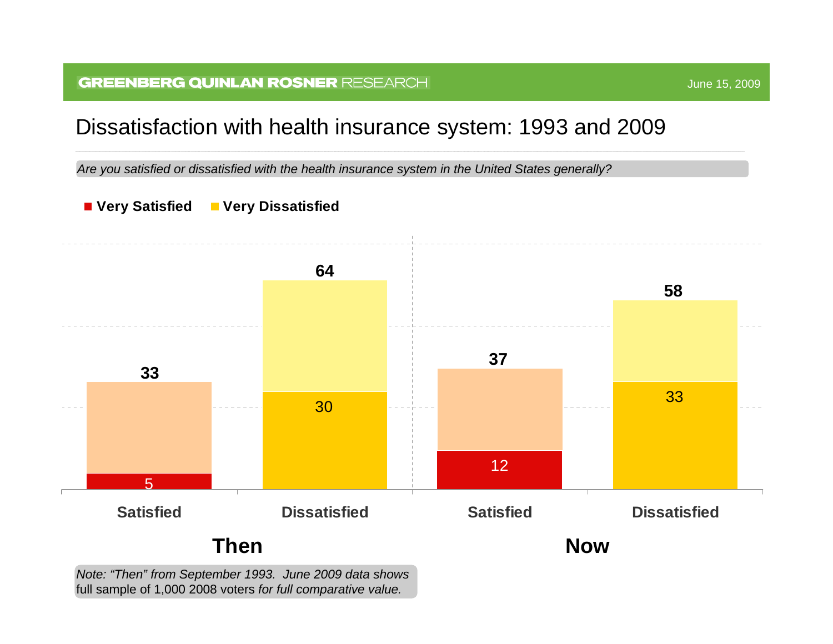#### **GREENBERG QUINLAN ROSNER RESEARCH**

### Dissatisfaction with health insurance system: 1993 and 2009

Are you satisfied or dissatisfied with the health insurance system in the United States generally?



*Note: "Then" from September 1993. June 2009 data shows*  full sampl e of 1,000 2008 voters *for full comparative value.*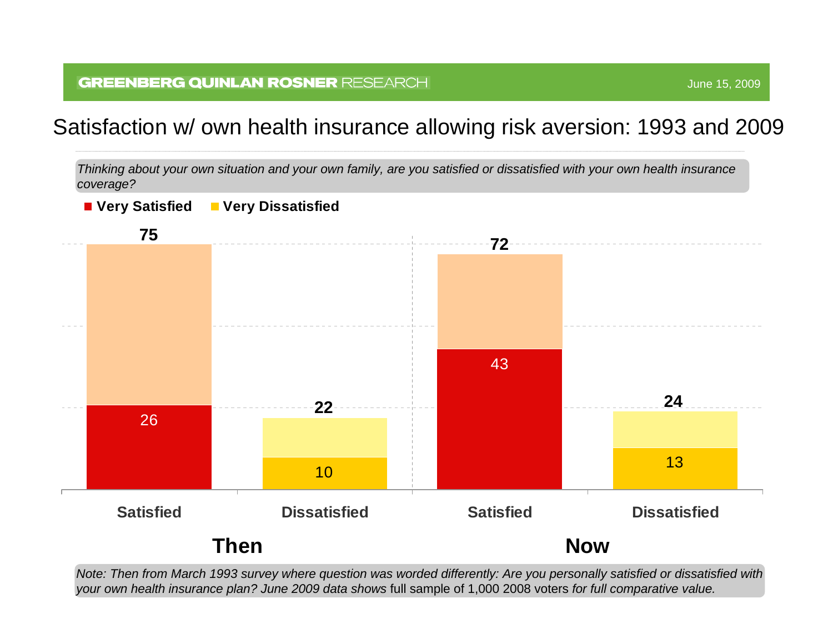### Satisfaction w/ own health insurance allowing risk aversion: 1993 and 2009

*Thinking about your own situation and your own family, are you satisfied or dissatisfied with your own health insurance coverage ?*



*Note: Then from March 1993 survey where question was worded differently: Are you personally satisfied or dissatisfied with your own health insurance plan? June 2009 data shows* full sampl e of 1,000 2008 voters *for full comparative value.*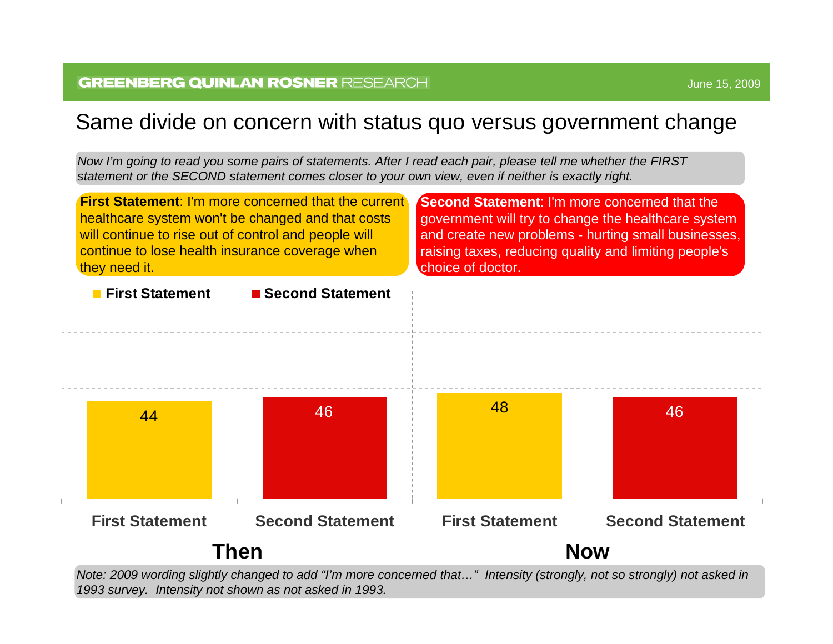### Same divide on concern with status quo versus government change

*Now I'm going to read you som e pairs of statements. After I rea d e ach p air, please tell m e wheth er the FIRST statement or the SECOND statement comes closer to your own view, even if neither is exactly rig ht.*

![](_page_6_Figure_4.jpeg)

*Note: 2009 wording slightly changed to add "I'm m ore concerned that…" Inten sity (strongly, not so stron gly) n ot asked in 1993 survey. Intensity not shown as not asked in 1993.*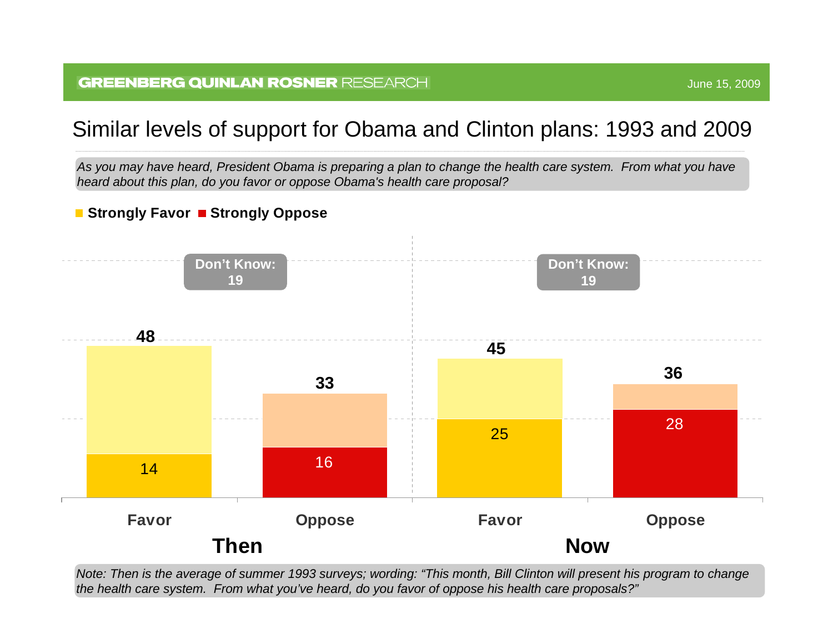## Similar levels of support for Obama and Clinton plans: 1993 and 2009

As you may have heard, President Obama is preparing a plan to change the health care system. From what you have *heard about this plan, do you favor or oppose Obama's health care proposal?* 

#### ■ Strongly Favor ■ Strongly Oppose

![](_page_7_Figure_4.jpeg)

*Note: Then is the average of summer 1993 surveys; wording: "This month, Bill Clinton will present his program to change the health care syste m. From what you've heard, do you favor of oppose his health care proposals?"*

June 15, 2009 June 15, 2009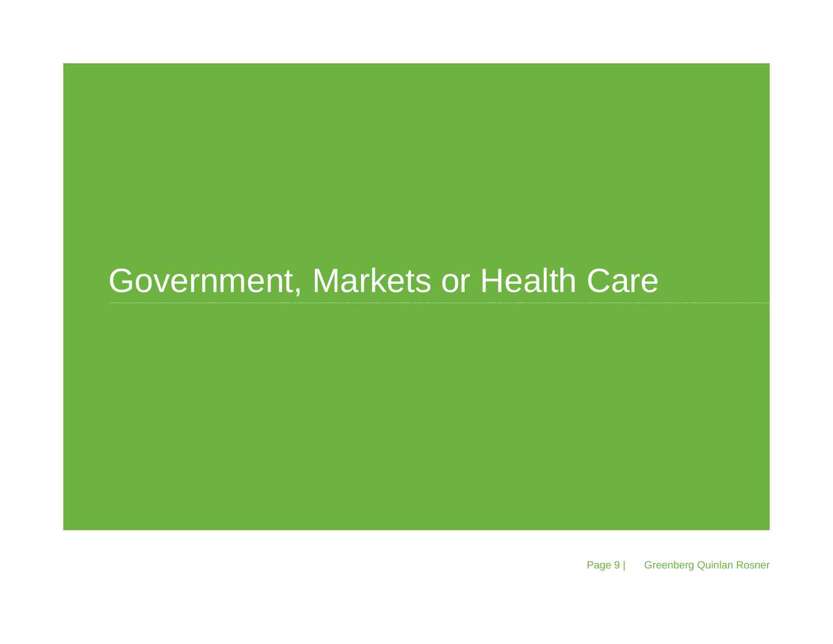## Government, Markets or Health Care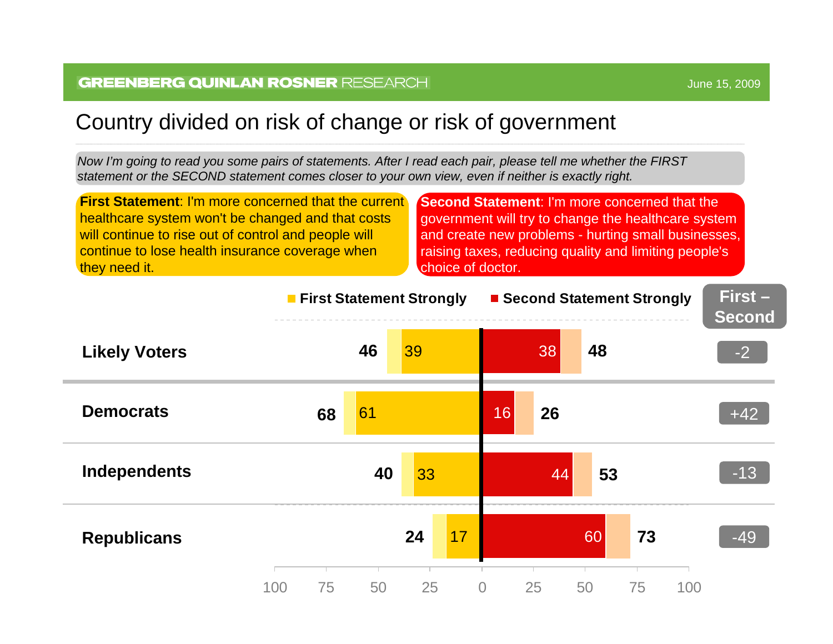### Country divided on risk of change or risk of government

*Now I'm going to read you som e pairs of statements. After I rea d e ach p air, please tell m e wheth er the FIRST statement or the SECOND statement comes closer to your own view, even if neither is exactly rig ht.*

**First Statement:** I'm more concerned that the current healthcare system won't be changed and that costs will continue to rise out of control and people will continue to lose health insurance coverage when they need it.

**Second Statement**: I'm more concerned that the government will try to change the healthcare system and create new problems - hurting small businesses, raising taxes, reducing quality and limiting people's choice of doctor.

![](_page_9_Figure_5.jpeg)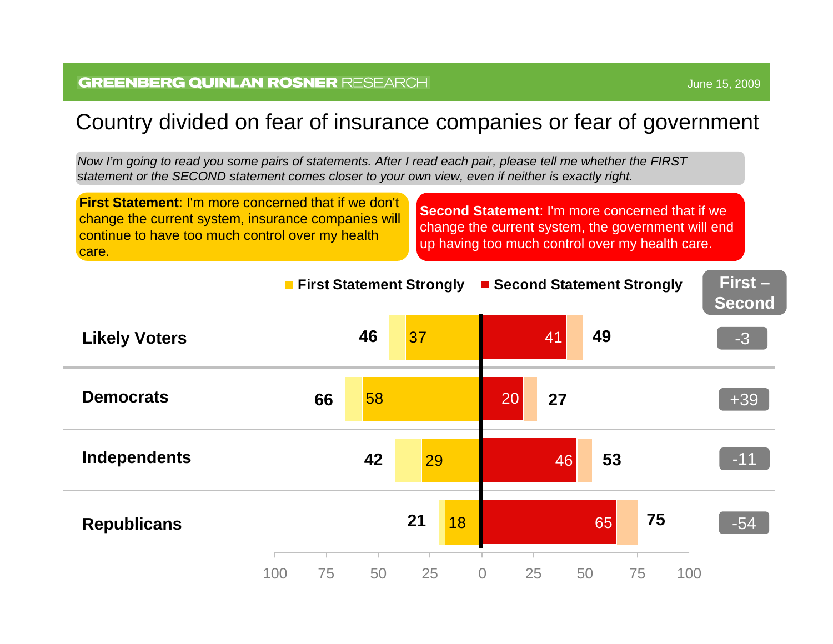### Country divided on fear of insurance companies or fear of government

*Now I'm going to read you som e pairs of statements. After I rea d e ach p air, please tell m e wheth er the FIRST statement or the SECOND statement comes closer to your own view, even if neither is exactly rig ht.*

**First Statement**: I'm more concerned that if we don't change the current system, insurance companies will continue to have too much control over my health care.

**Second Statement**: I'm more concerned that if we change the current system, the government will end up having too much control over my health care.

|                      | <b>First Statement Strongly</b> |    | ■ Second Statement Strongly | First-<br><b>Second</b>    |           |       |
|----------------------|---------------------------------|----|-----------------------------|----------------------------|-----------|-------|
| <b>Likely Voters</b> |                                 | 46 | 37                          | 41                         | 49        | $-3$  |
| <b>Democrats</b>     | 66                              | 58 |                             | 27<br>20                   |           | $+39$ |
| Independents         |                                 | 42 | 29                          | 46                         | 53        | $-11$ |
| <b>Republicans</b>   |                                 |    | 21<br><b>18</b>             |                            | 75<br>65  | $-54$ |
|                      | 75<br>100                       | 50 | 25                          | $\overline{O}$<br>25<br>50 | 75<br>100 |       |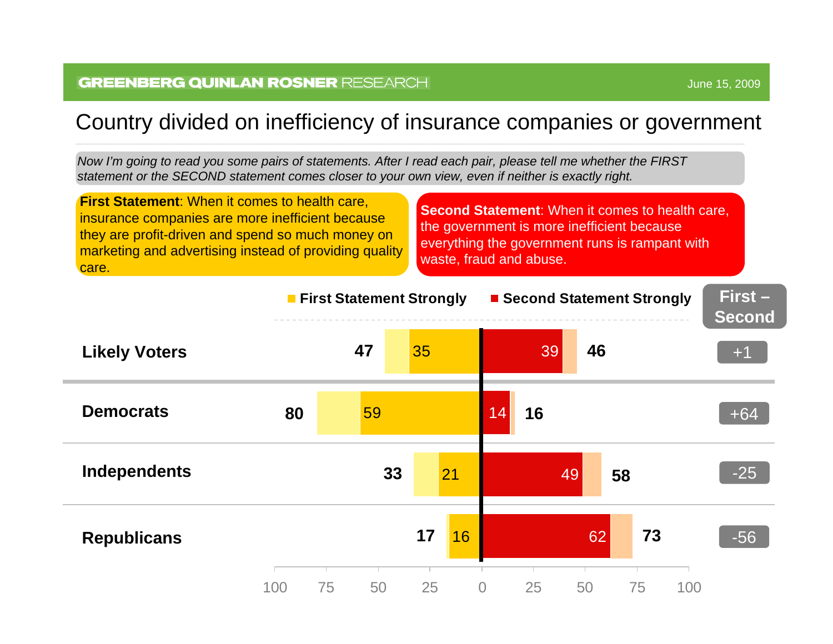### Country divided on inefficiency of insurance companies or government

*Now I'm going to read you som e pairs of statements. After I rea d e ach p air, please tell m e wheth er the FIRST statement or the SECOND statement comes closer to your own view, even if neither is exactly rig ht.*

**First Statement**: When it comes to health care, insurance companies are more inefficient because they are profit-driven and spend so much money on marketing and advertising instead of providing quality care.

**Second Statement:** When it comes to health care, the government is more inefficient because everything the government runs is rampant with waste, fraud and abuse.

![](_page_11_Figure_5.jpeg)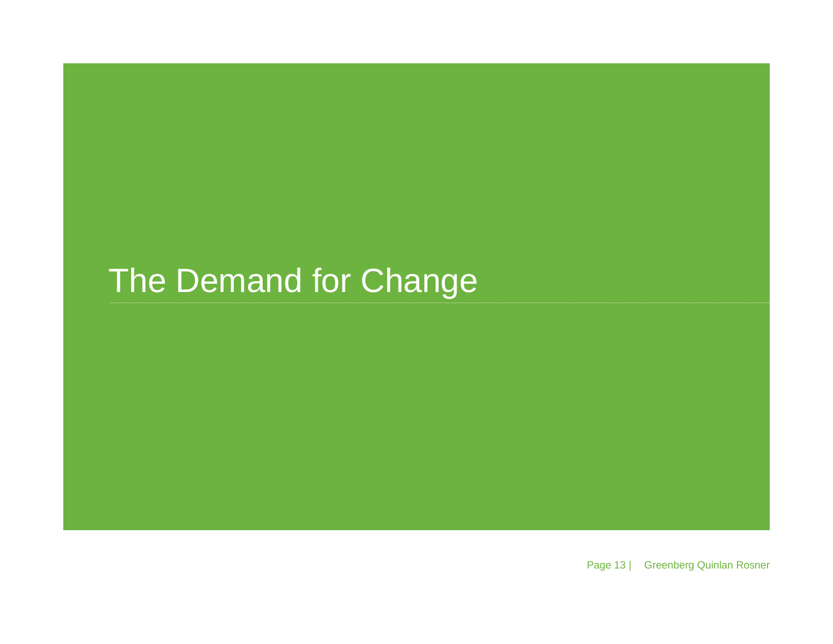# The Demand for Change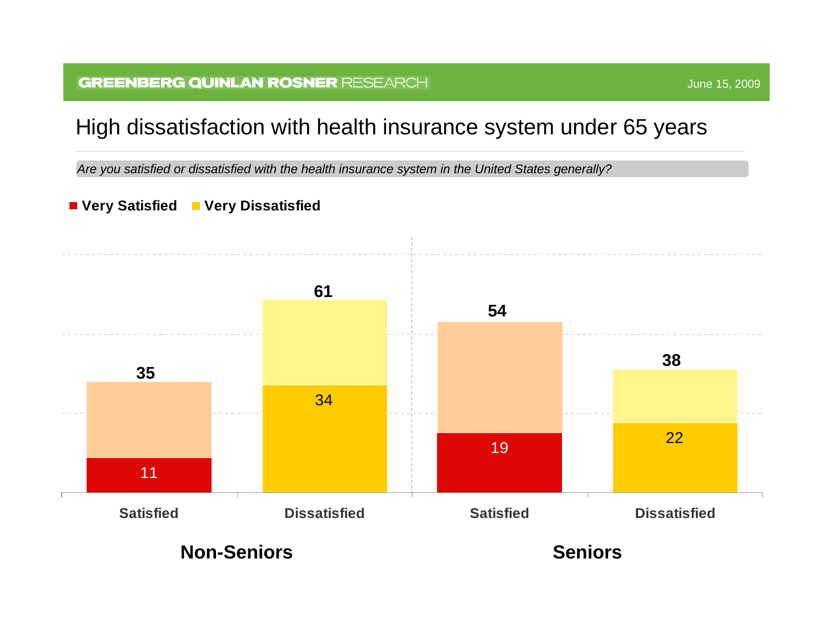#### **GREENBERG QUINLAN ROSNER RESEARCH**

### High dissatisfaction with health insurance system under 65 years

Are you satisfied or dissatisfied with the health insurance system in the United States generally?

#### **Very Satisfie d Ver y Dissatisfied**

![](_page_13_Figure_4.jpeg)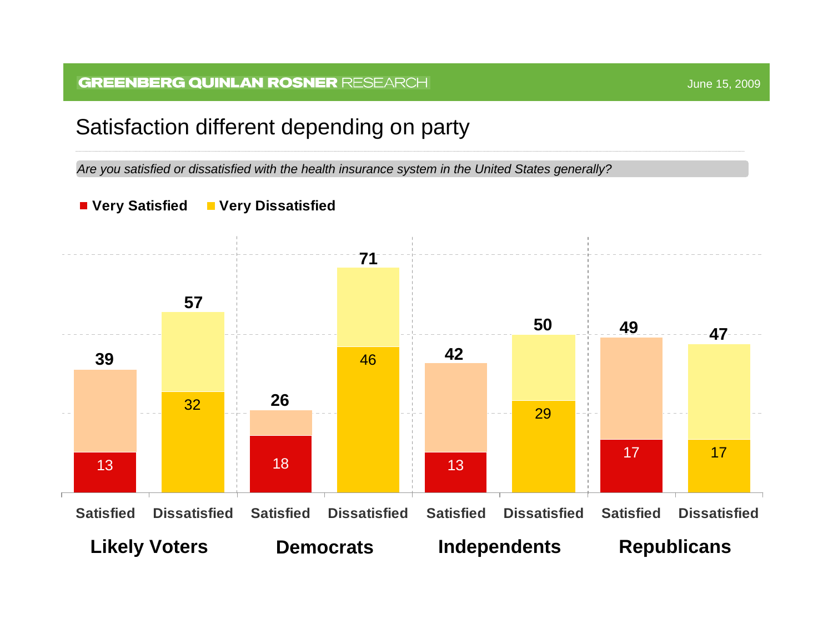### Satisfaction different depending on party

Are you satisfied or dissatisfied with the health insurance system in the United States generally?

![](_page_14_Figure_3.jpeg)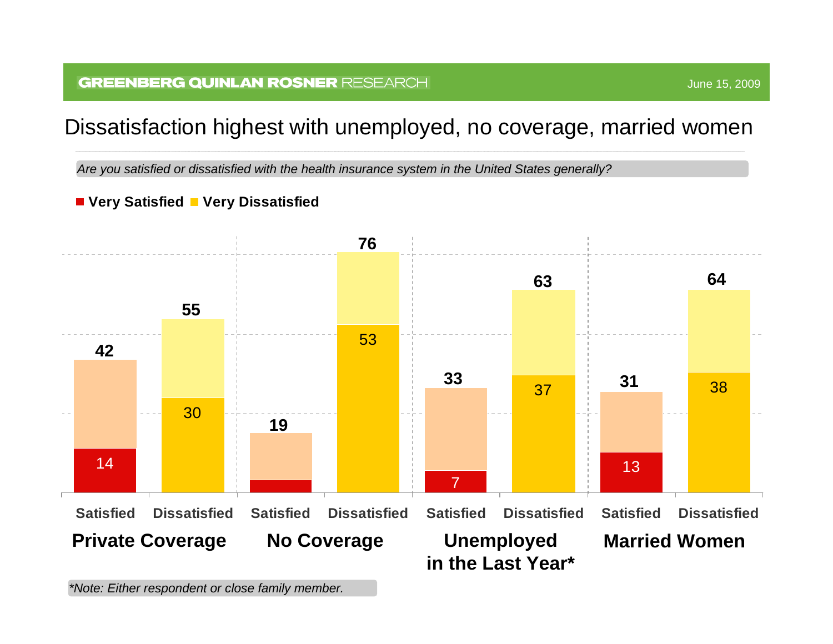#### **GREENBERG QUINLAN ROSNER RESEARCH**

### Dissatisfaction highest with unemployed, no coverage, married women

Are you satisfied or dissatisfied with the health insurance system in the United States generally?

#### **Very S atisfie d Ver y Dissatisfied**

![](_page_15_Figure_4.jpeg)

*\*Note: Either respondent or close family m ember.*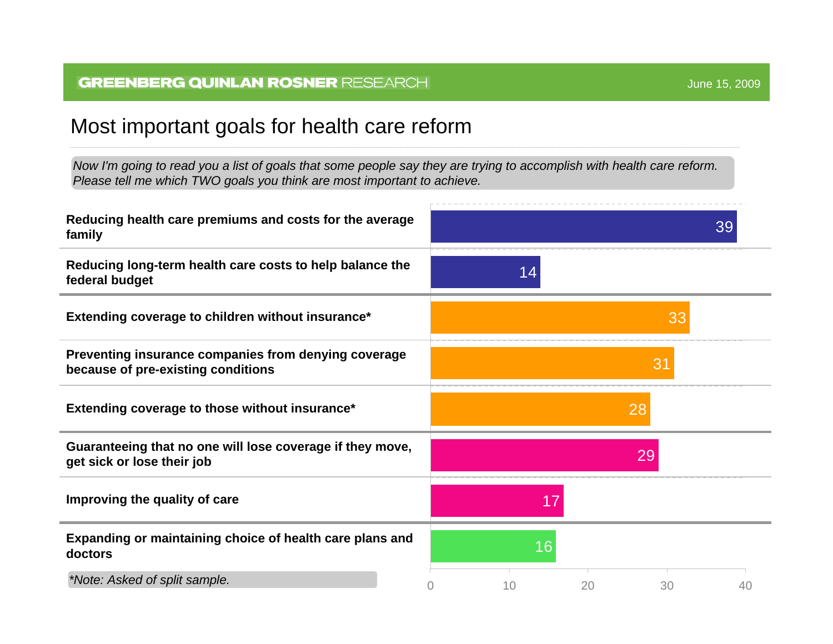### Most important goals for health care reform

*Now I'm going to read you a list of goals that som e people say they are tryin g to accomplish with h e alth care reform. Please tell me which T WO goals you think are m ost important to achieve.* 

![](_page_16_Figure_4.jpeg)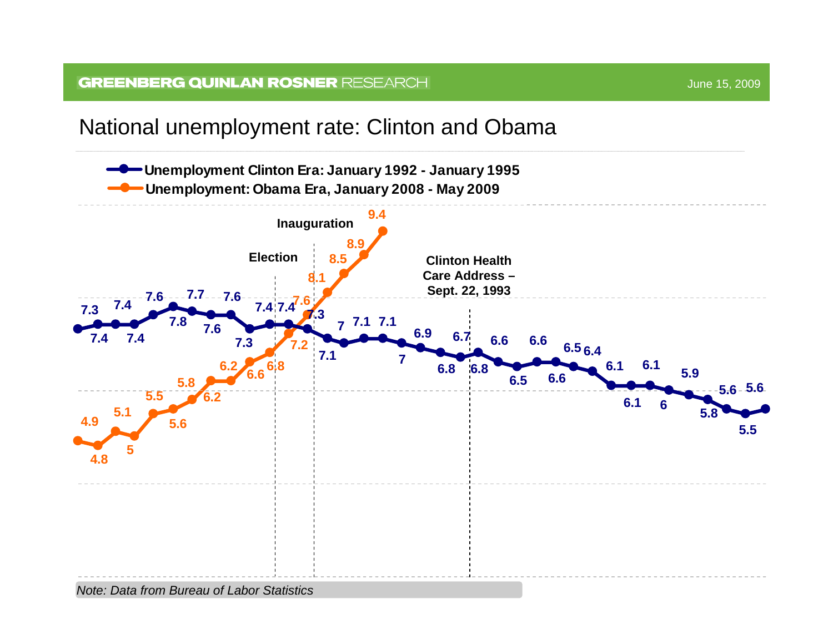![](_page_17_Figure_2.jpeg)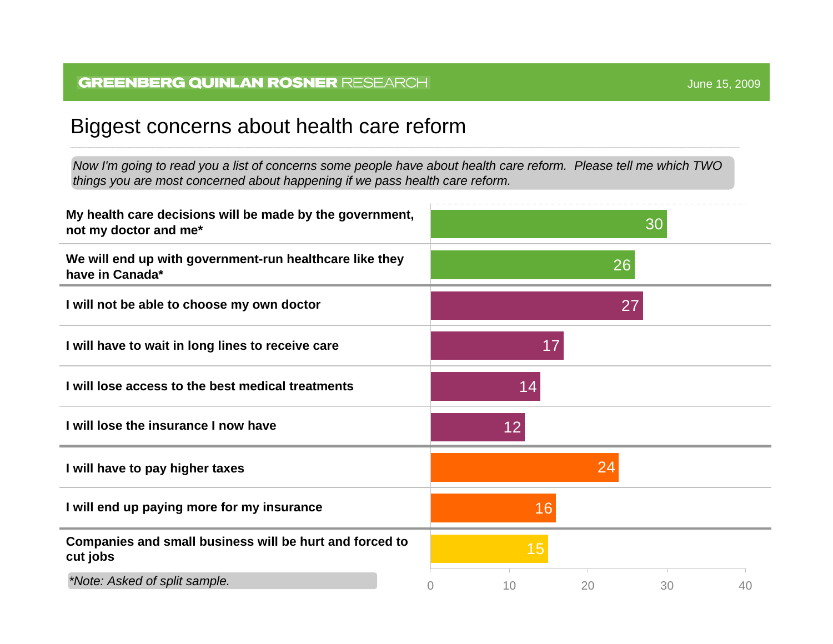### Biggest concerns about health care reform

*Now I'm going to read you a list of concerns some people have about health care reform. Please tell me which TWO things you are most concerned about happening if we pass health care reform.* 

![](_page_18_Figure_3.jpeg)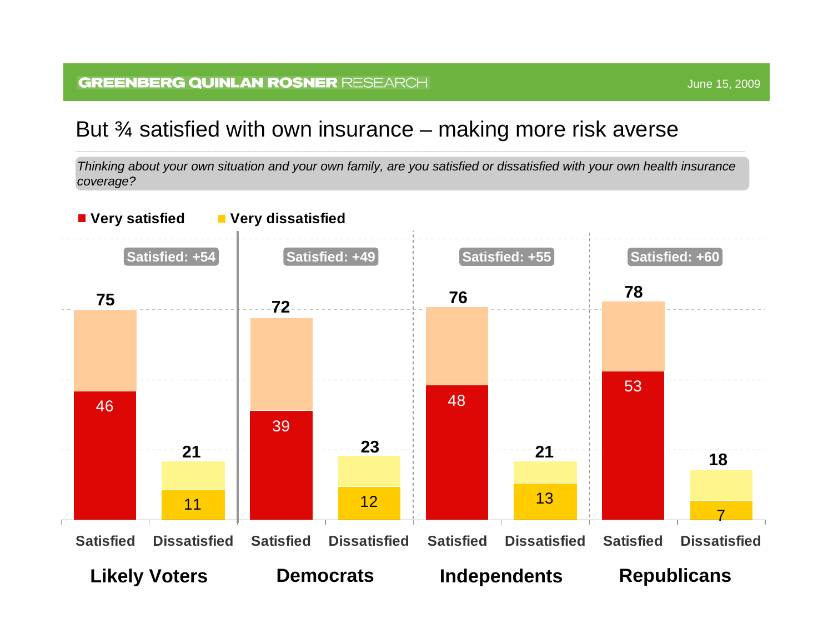### But  $\mathrm{\mathcal{X}}$  satisfied with own insurance – making more risk averse

*Thinking about your own situation and your own family, are you satisfied or dissatisfied with your own health insurance coverage?*

![](_page_19_Figure_3.jpeg)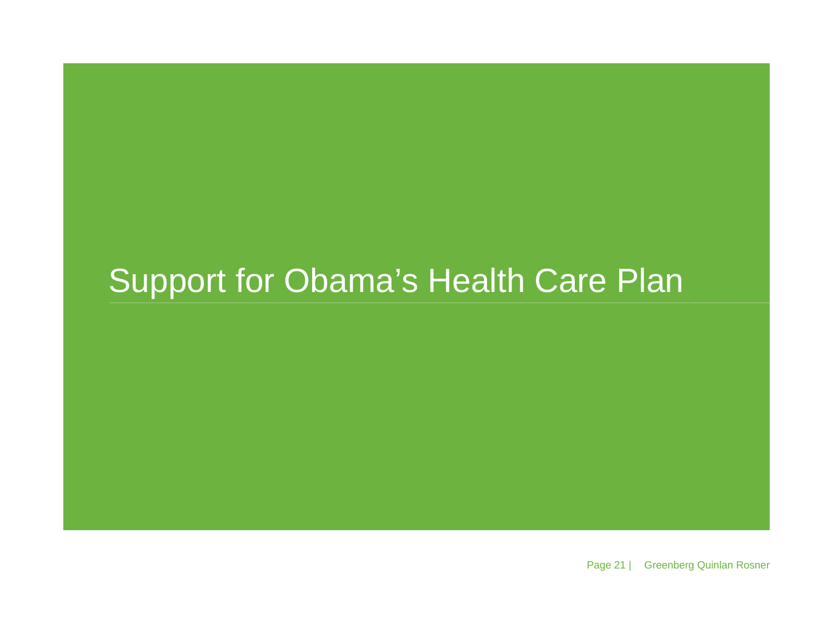## Support for Obama's Health Care Plan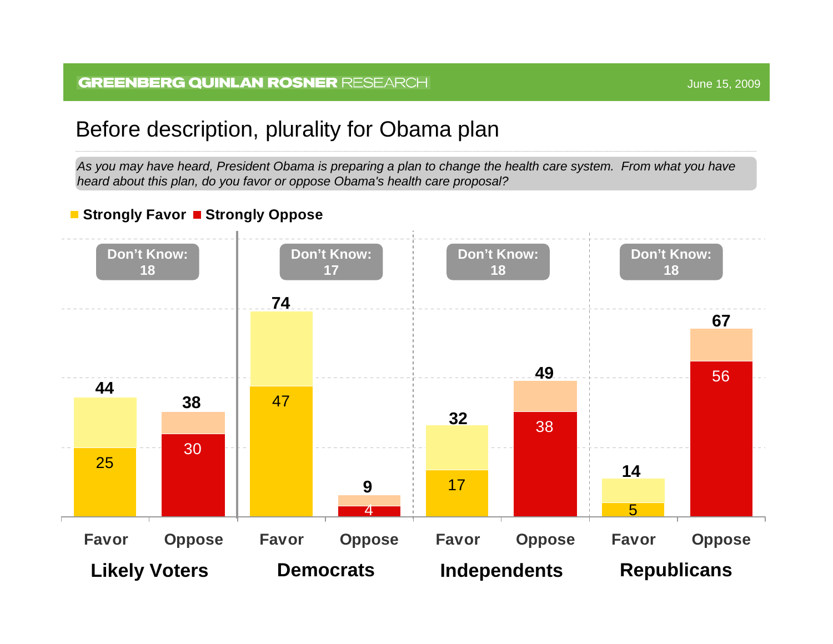### Before description, plurality for Obama plan

*As you may have heard, President Obama is preparing a plan to change the health care system. From what you have heard about this plan, do you favor or oppose Obama's health care proposal?* 

#### ■ Strongly Favor ■ Strongly Oppose

![](_page_21_Figure_5.jpeg)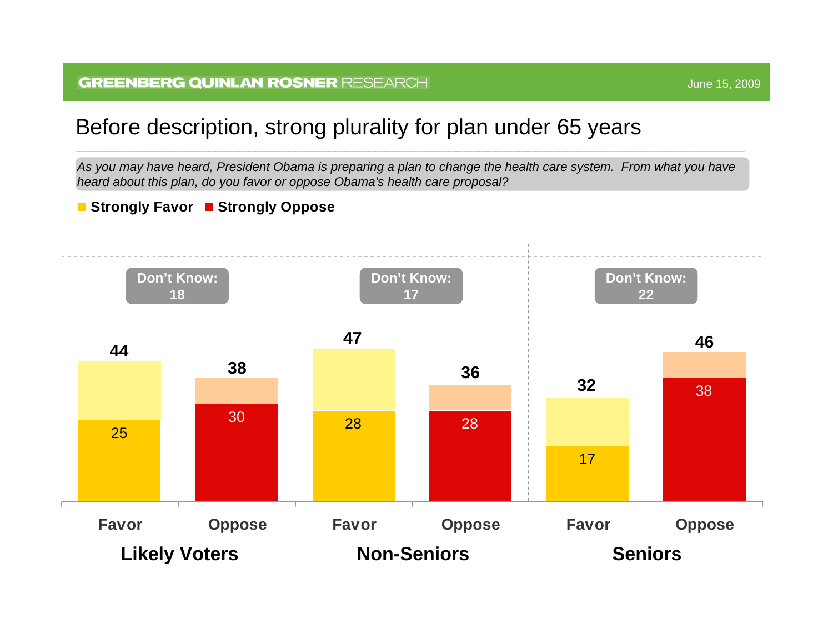## Before description, strong plurality for plan under 65 years

As you may have heard, President Obama is preparing a plan to change the health care system. From what you have *heard about this plan, do you favor or oppose Obama's health care proposal?* 

#### **Strongl y Favor Strongl y O ppose**

![](_page_22_Figure_4.jpeg)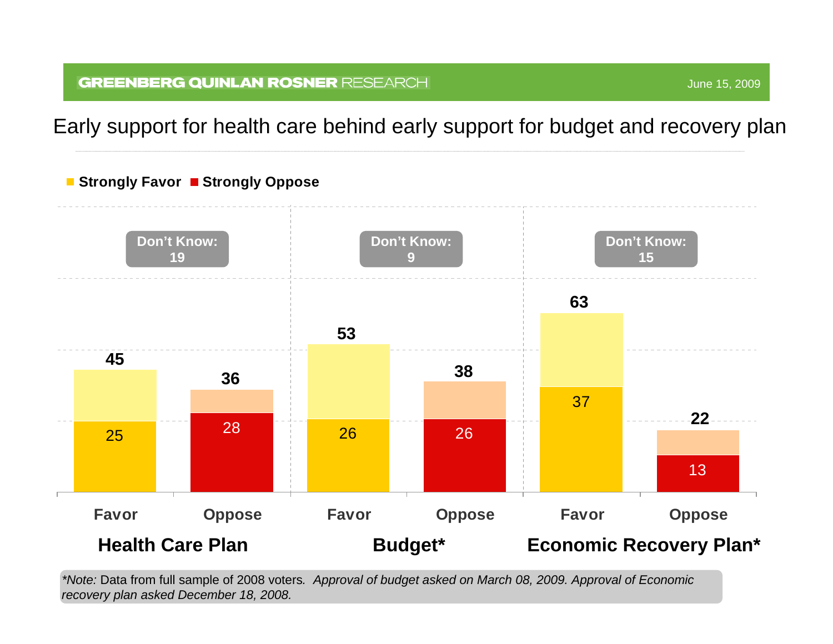Early support for health care behind early support for budget and recovery plan

![](_page_23_Figure_2.jpeg)

*\*Note:* Data from full sample of 2008 voters*. Approval of budget asked on March 08, 2009. Approval of Economic recovery plan asked D ecember 18, 2008.*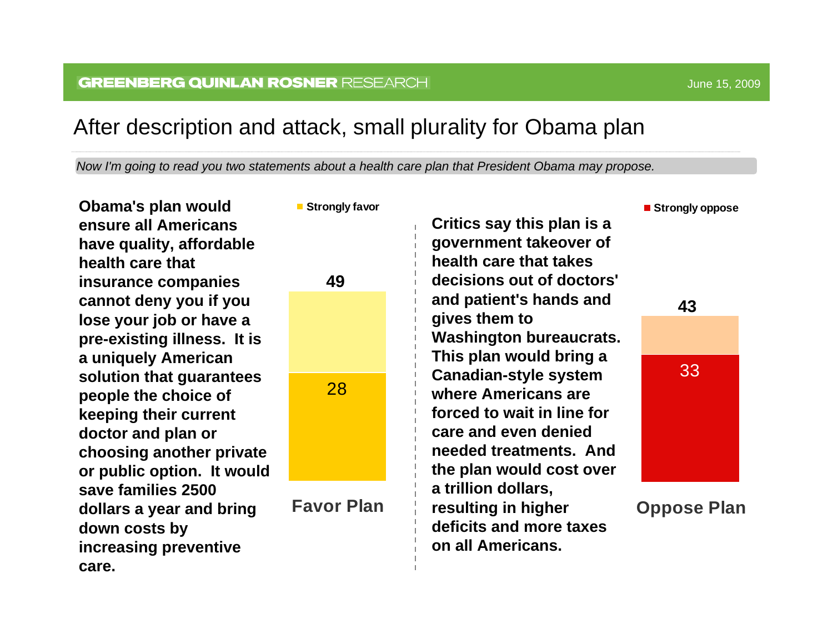### After description and attack, small plurality for Obama plan

*Now I'm going to read you two statements about a health care plan that President Obama may propose.* 

**Obama's plan would ensure all Americans have quality, affordable health care that insurance companies cannot deny you if you lose your job or have a pre-existing illness. It is a uniquely American solution that guarantees people the choice of keeping their current doctor and plan or choosing another private or public option. It would save families 2500 dollars a year and bring down costs by increasing preventive care.**

![](_page_24_Figure_5.jpeg)

**Favor Plan**

**Critics say this plan is a government takeover of health care that takes decisions out of doctors' and patient's hands and gives them to Washington bureaucrats. This plan would bring a Canadian-style system where Americans are forced to wait in line for care and even denied needed treatments. And the plan would cost over a trillion dollars, resulting in higher deficits and more taxes on all Americans.**

**Strongly oppose** 

![](_page_24_Picture_9.jpeg)

**Oppose Plan**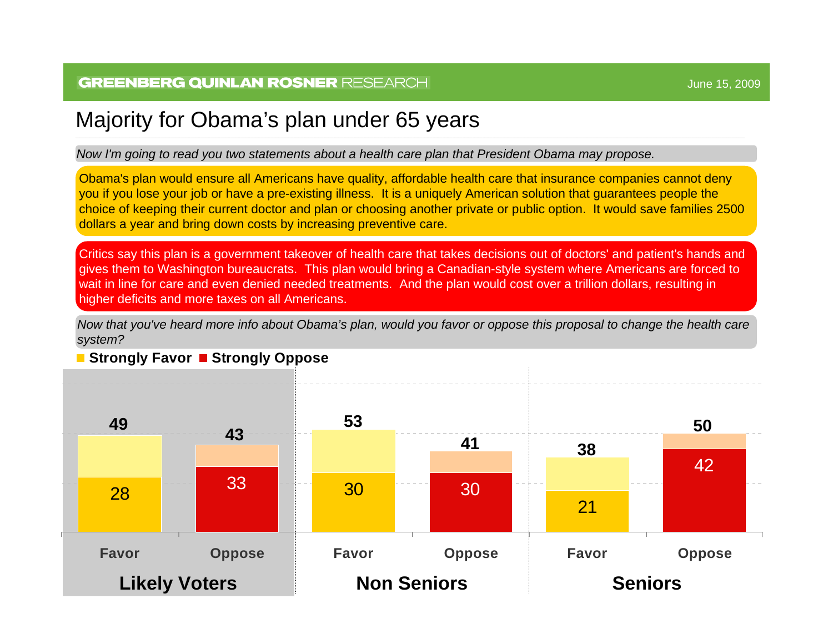### Majority for Obama's plan under 65 years

*Now I'm going to read you two statements about a health care plan that President Obama m ay propose.* 

Obama's plan would ensure all Americans have quality, affordable health care that insurance companies cannot deny you if you l ose your job or have a pre-existing illness. It is a uniquely American sol ution that guarantees people the choice of keeping their current doctor and plan or choosing another private or public option. It would save families 2500 dollars a year and bring down costs by increasing preventive care.

Critics say this plan is a government takeover of health care that takes d ecisions o ut of doctors' and pati ent's hands and gives them to Washington bureaucrats. This plan would bring a Canadian-style system where Americans are forced to wait in line f or care and even denied needed treatments. And the plan would cost over a trillion dollars, r esulting in higher deficits and more taxes on all Americans.

*Now that you've heard m ore info about Obama's plan, would you favor or opp ose this proposal to cha ng e the health caresystem ?*

![](_page_25_Figure_7.jpeg)

#### ■ Strongly Favor ■ Strongly Oppose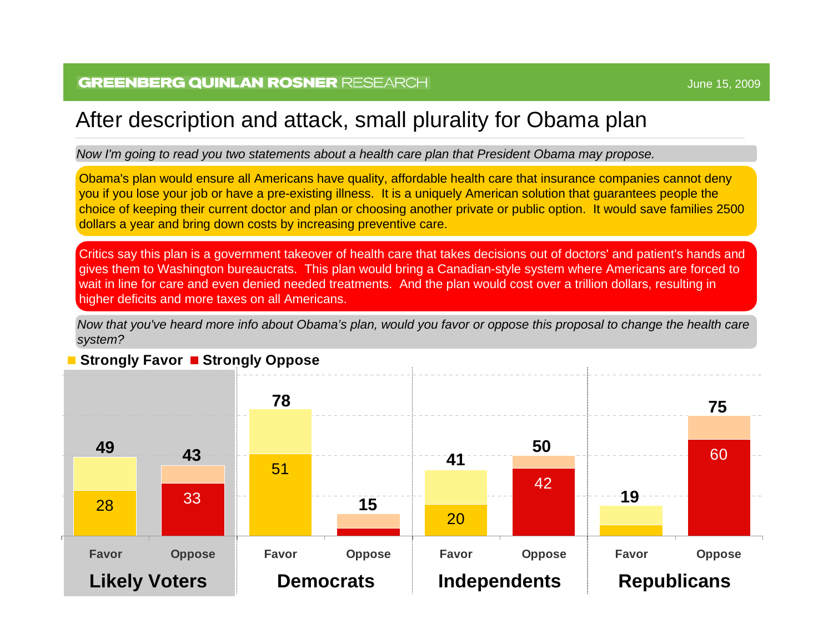### After description and attack, small plurality for Obama plan

*Now I'm going to read you two statements about a health care plan that President Obama may propose.* 

Obama's plan would ensure all Americans have quality, affordable health care that insurance companies cannot deny you if you lose your job or have a pre-existing illness. It is a uniquely American solution that guarantees people the choice of keeping their current doctor and plan or choosing another private or public option. It would save families 2500 dollars a year and bring down costs by increasing preventive care.

Critics say this plan is a government takeover of health care that takes decisions out of doctors' and patient's hands and gives them to Washington bureaucrats. This plan would bring a Canadian-style system where Americans are forced to wait in line for care and even denied needed treatments. And the plan would cost over a trillion dollars, resulting in higher deficits and more taxes on all Americans.

*Now that you've heard more info about Obama's plan, would you favor or oppose this proposal to change the health care system?*

![](_page_26_Figure_7.jpeg)

#### **Strongly Favor ■ Strongly Oppose**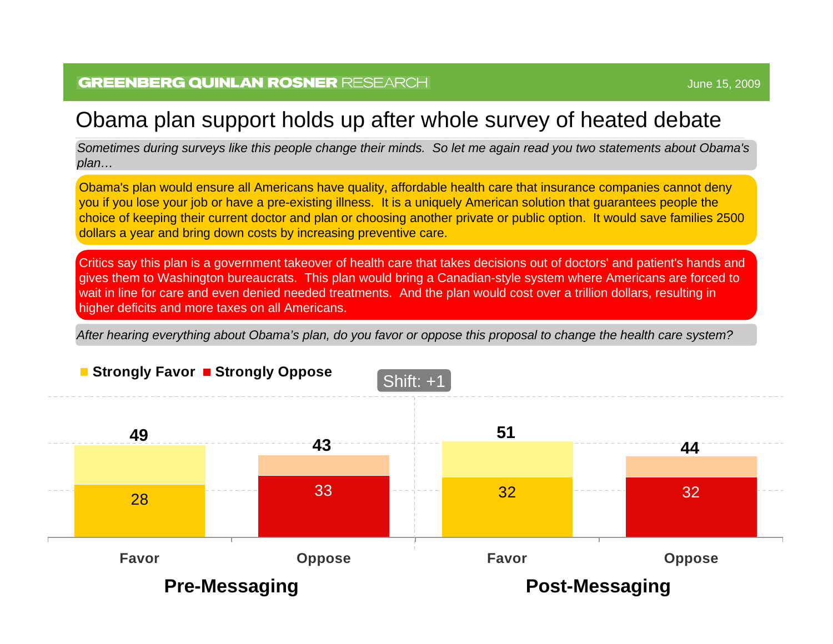### Obama plan support holds up after whole survey of heated debate

*Sometimes during surveys like this people change their minds. So let me again read you two statements about Obama's plan…*

Obama's plan would ensure all Americans have quality, affordable health care that insurance companies cannot deny you if you lose your job or have a pre-existing illness. It is a uniquely American solution that guarantees people the choice of keeping their current doctor and plan or choosing another private or public option. It would save families 2500 dollars a year and bring down costs by increasing preventive care.

Critics say this plan is a government takeover of health care that takes decisions out of doctors' and patient's hands and gives them to Washington bureaucrats. This plan would bring a Canadian-style system where Americans are forced to wait in line for care and even denied needed treatments. And the plan would cost over a trillion dollars, resulting in higher deficits and more taxes on all Americans.

*After hearing everything about Obama's plan, do you favor or oppose this proposal to change the health care system?*

![](_page_27_Figure_7.jpeg)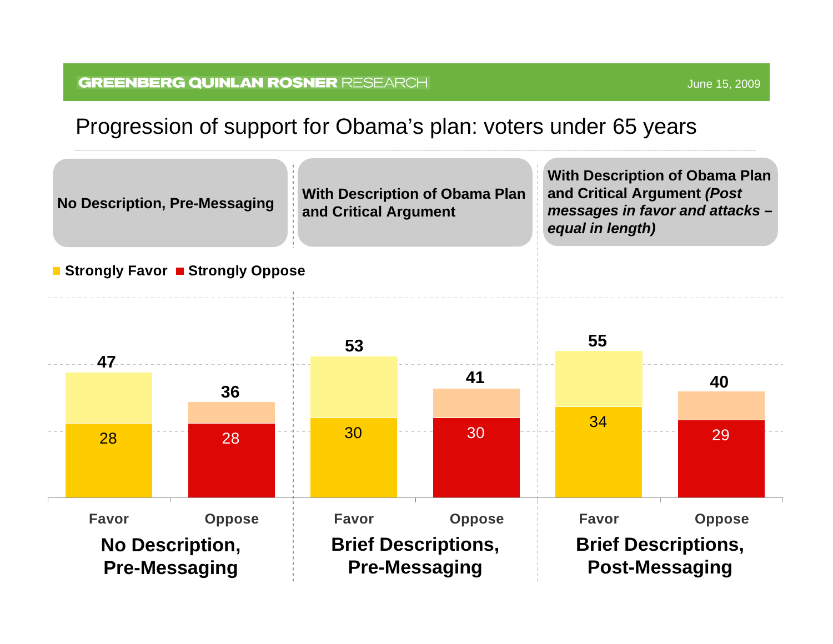![](_page_28_Figure_2.jpeg)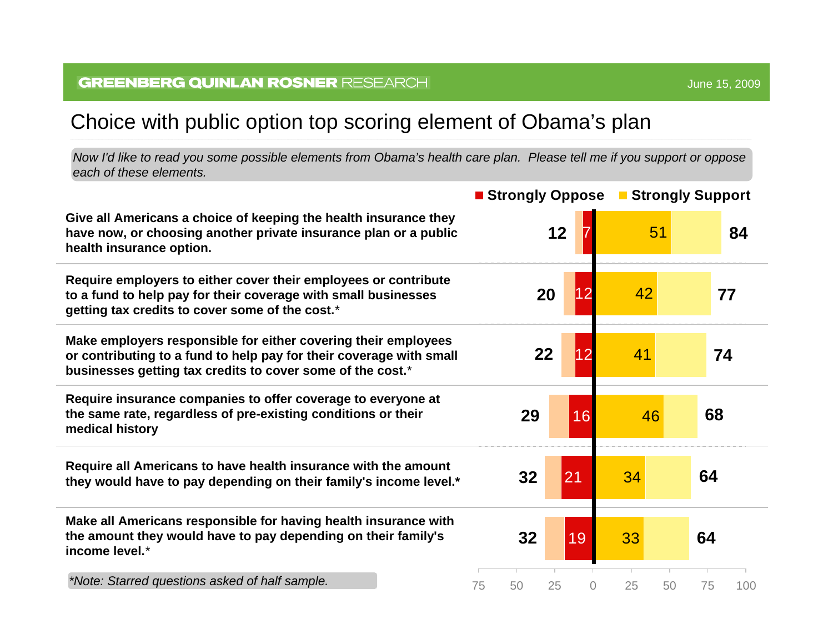### Choice with public option top scoring element of Obama's plan

*Now I'd like to read you som e possible elements from Obama's health care plan. Please tell m e if you support or oppose each of these elements.* 

|                                                                                                                                                                                                     | ■ Strongly Oppose ■ Strongly Support |          |          |           |  |
|-----------------------------------------------------------------------------------------------------------------------------------------------------------------------------------------------------|--------------------------------------|----------|----------|-----------|--|
| Give all Americans a choice of keeping the health insurance they<br>have now, or choosing another private insurance plan or a public<br>health insurance option.                                    | 12                                   |          | 51       | 84        |  |
| Require employers to either cover their employees or contribute<br>to a fund to help pay for their coverage with small businesses<br>getting tax credits to cover some of the cost.*                | 20                                   | 12       | 42       | 77        |  |
| Make employers responsible for either covering their employees<br>or contributing to a fund to help pay for their coverage with small<br>businesses getting tax credits to cover some of the cost.* | 22                                   | 12       | 41       | 74        |  |
| Require insurance companies to offer coverage to everyone at<br>the same rate, regardless of pre-existing conditions or their<br>medical history                                                    | 29                                   | 16       | 46       | 68        |  |
| Require all Americans to have health insurance with the amount<br>they would have to pay depending on their family's income level.*                                                                 | 32                                   | 21       | 34       | 64        |  |
| Make all Americans responsible for having health insurance with<br>the amount they would have to pay depending on their family's<br>income level.*                                                  | 32                                   | 19       | 33       | 64        |  |
| *Note: Starred questions asked of half sample.                                                                                                                                                      | 75<br>50<br>25                       | $\Omega$ | 25<br>50 | 75<br>100 |  |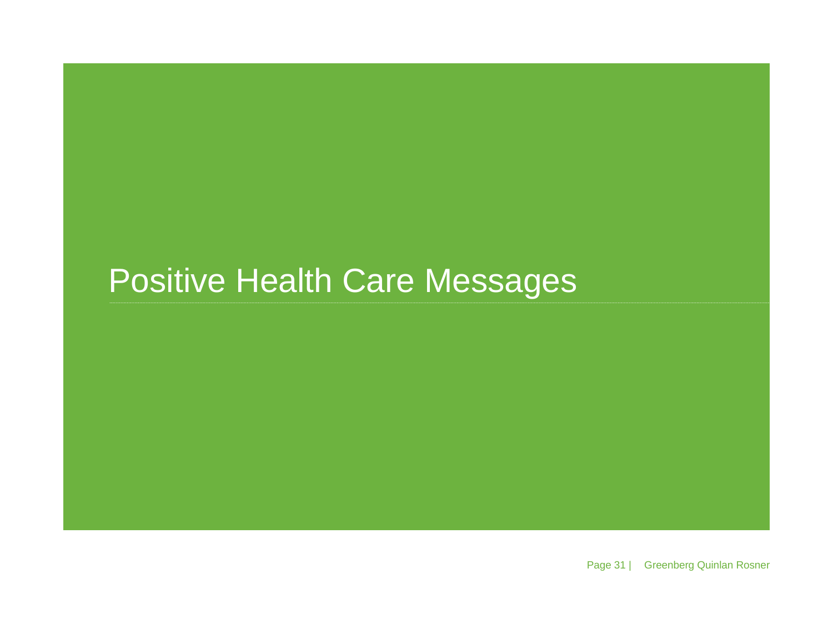## Positive Health Care Messages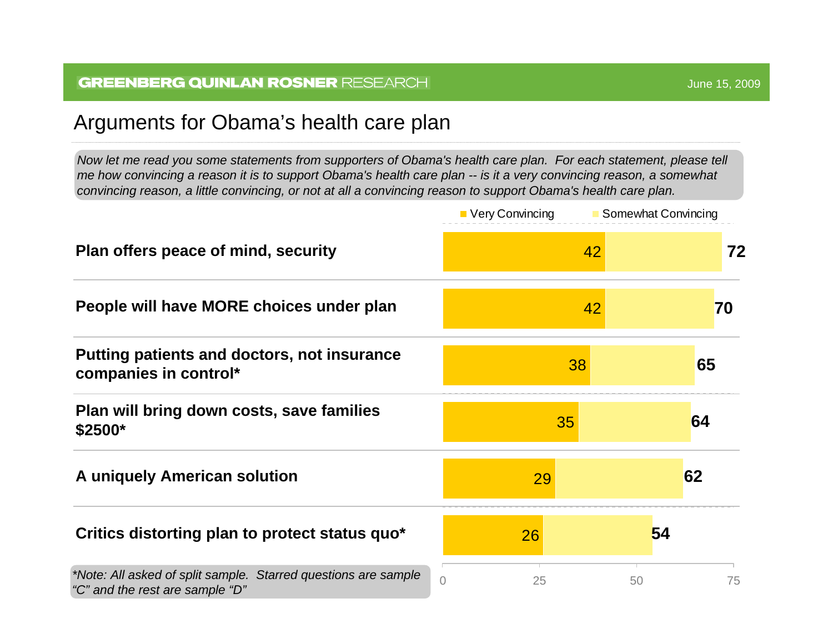### Arguments for Obama's health care plan

Now let me read you some statements from supporters of Obama's health care plan. For each statement, please tell *me how convincing a reason it is to support Obama's health care plan -- is it a very convincing reason, a somewhat convincing reason, a little convincing, or not at all a convincing reason to support Obama's health care plan.* 

|                                                                                                   | ■ Very Convincing | <b>Somewhat Convincing</b> |    |
|---------------------------------------------------------------------------------------------------|-------------------|----------------------------|----|
| Plan offers peace of mind, security                                                               |                   | 42                         | 72 |
| People will have MORE choices under plan                                                          |                   | 42<br>70                   |    |
| Putting patients and doctors, not insurance<br>companies in control*                              | 38                | 65                         |    |
| Plan will bring down costs, save families<br>$$2500*$                                             | 35                | 64                         |    |
| A uniquely American solution                                                                      | 29                | 62                         |    |
| Critics distorting plan to protect status quo*                                                    | 26                | 54                         |    |
| *Note: All asked of split sample. Starred questions are sample<br>"C" and the rest are sample "D" | 0<br>25           | 50                         | 75 |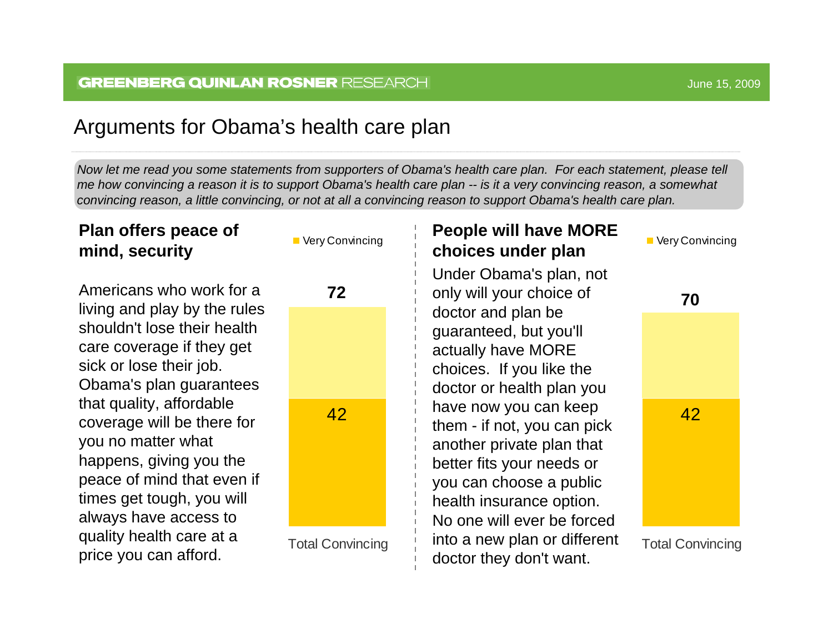### Arguments for Obama's health care plan

Now let me read you some statements from supporters of Obama's health care plan. For each statement, please tell *me how convincing a reason it is to support Obama's health care plan -- is it a very convincing reason, a somewhat convincing reason, a little convincing, or not at all a convincing reason to support Obama's health care plan.* 

### **Plan off ers peace of mind, security**

Americans who work for a **72**living and play by the rules shouldn't lose their health care coverage if they get sick or l ose their job. Obama's plan guarantees that quality, affordable coverage will be there for you no matter what happens, giving you the peace of mind that even if times get tough, you will always have access to quality health care at a price you can afford.

![](_page_32_Figure_5.jpeg)

**Very Convincing** 

Total Convincing

#### **Peo ple will have MORE choices under plan Very Convincing** Under Obama's plan, not

only will your choice of doctor and plan be guaranteed, but you'll actually have MORE choices. If you like the doctor or health plan you have now you can keep them - if not, you can pick another private plan that better fits your needs or you can choose a public health i nsurance option. No one will ever be forced into a new plan or different doctor they don't want.

![](_page_32_Picture_10.jpeg)

Total Convincing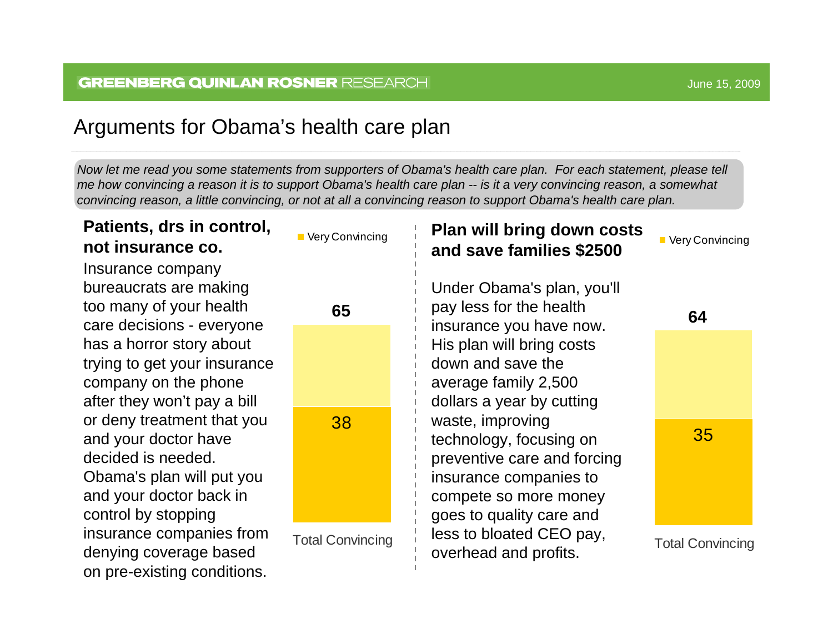on pre-existing conditions.

### Arguments for Obama's health care plan

Now let me read you some statements from supporters of Obama's health care plan. For each statement, please tell *me how convincing a reason it is to support Obama's health care plan -- is it a very convincing reason, a somewhat convincing reason, a little convincing, or not at all a convincing reason to support Obama's health care plan.* 

#### **Patients, drs in control, not insurance co.**38Total Convincing ■ Very Convincing **65**Insurance company bureaucrats are making too many of your health care deci sions - everyone has a horror story about trying to get your insurance company on the phone after they won't pay a bill or deny treatment that you and your doctor have decided is needed. Obama's plan will put you and your doctor back in control by stopping insurance companies from denying coverage based **Plan will bring down costs, and save families \$2500** 35Total Convincing **Very Convincing 64**Under Obama's plan, you'll pay l ess for the health insurance you have now. His plan will bring costs down and save the average family 2,500 dollars a year by cutting waste, i mprovi ng technology, focusing on preve ntiv e care and forcing insurance companies to compete so more money goes to quality care and less to bloated CEO pay, overhead and profits.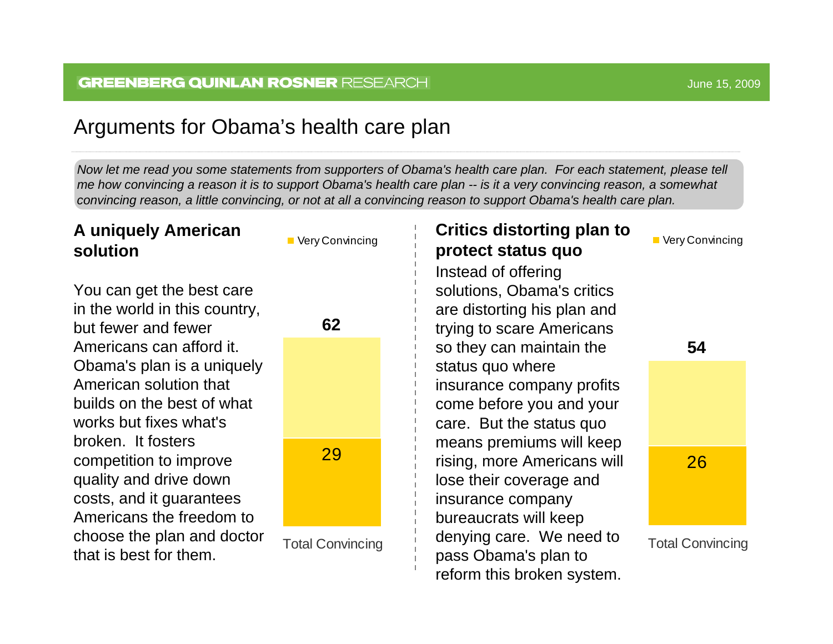### Arguments for Obama's health care plan

Now let me read you some statements from supporters of Obama's health care plan. For each statement, please tell *me how convincing a reason it is to support Obama's health care plan -- is it a very convincing reason, a somewhat convincing reason, a little convincing, or not at all a convincing reason to support Obama's health care plan.* 

#### **A uniquely American solution**

You can get the best care in the world in this country, but fewer and fewer Americans can afford it. Obama's plan is a uniquely American solution that builds on the best of what works but fixes what's broken. It fosters competition to i mprove quality and drive down costs, and it guarantees Americans the freedom to choose the plan and doctor that is best for them.

![](_page_34_Figure_5.jpeg)

![](_page_34_Figure_6.jpeg)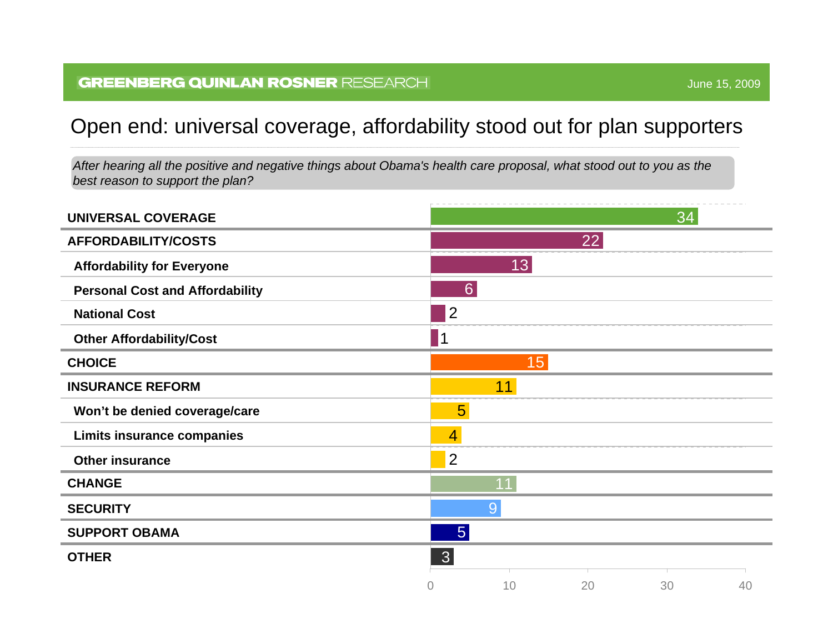### Open end: universal coverage, affordability stood out for plan supporters

*After hearing all the positive and negative things about Obama's health care proposal, what stood out to you as the best reason to support the plan?*

| <b>UNIVERSAL COVERAGE</b>              |                  |    |    | 34 |    |
|----------------------------------------|------------------|----|----|----|----|
| <b>AFFORDABILITY/COSTS</b>             |                  |    | 22 |    |    |
| <b>Affordability for Everyone</b>      |                  | 13 |    |    |    |
| <b>Personal Cost and Affordability</b> | $6 \overline{6}$ |    |    |    |    |
| <b>National Cost</b>                   | 2                |    |    |    |    |
| <b>Other Affordability/Cost</b>        | 1                |    |    |    |    |
| <b>CHOICE</b>                          |                  | 15 |    |    |    |
| <b>INSURANCE REFORM</b>                |                  | 11 |    |    |    |
| Won't be denied coverage/care          | 5 <sup>5</sup>   |    |    |    |    |
| <b>Limits insurance companies</b>      | $\overline{4}$   |    |    |    |    |
| <b>Other insurance</b>                 | $\overline{2}$   |    |    |    |    |
| <b>CHANGE</b>                          |                  | 11 |    |    |    |
| <b>SECURITY</b>                        |                  | 9  |    |    |    |
| <b>SUPPORT OBAMA</b>                   | 5 <sup>5</sup>   |    |    |    |    |
| <b>OTHER</b>                           | 3 <sup>2</sup>   |    |    |    |    |
|                                        | $\Omega$         | 10 | 20 | 30 | 40 |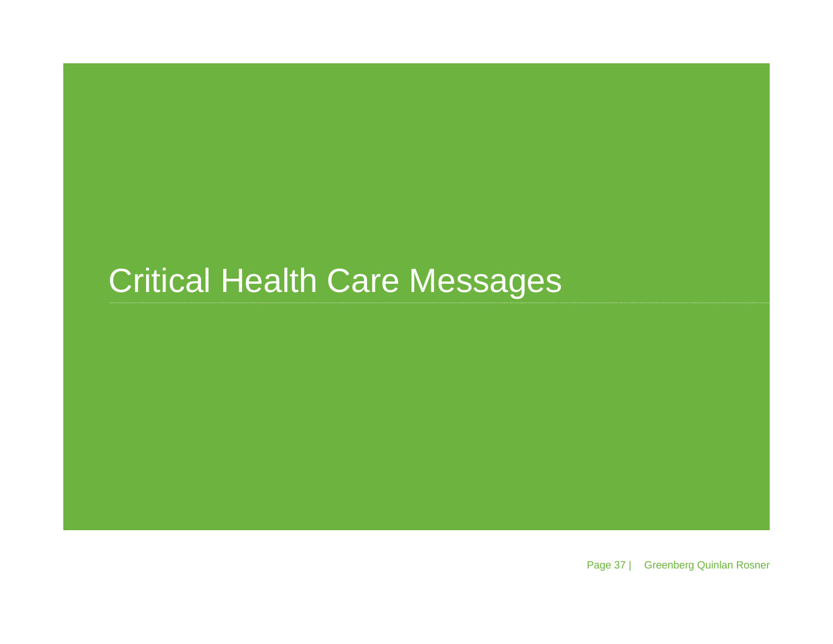# Critical Health Care Messages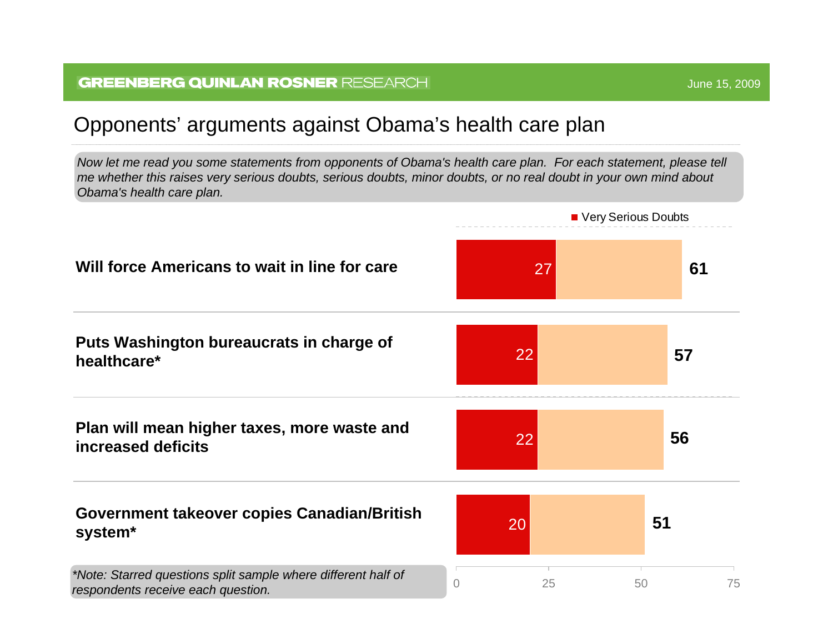## Opponents' arguments against Obama's health care plan

*Now let me read you some statements from opponents of Obama's health care plan. For each statement, please tell me whether this raises very serious doubts, serious doubts, minor doubts, or no real doubt in your own mind about Obama's health care plan.*

![](_page_37_Figure_3.jpeg)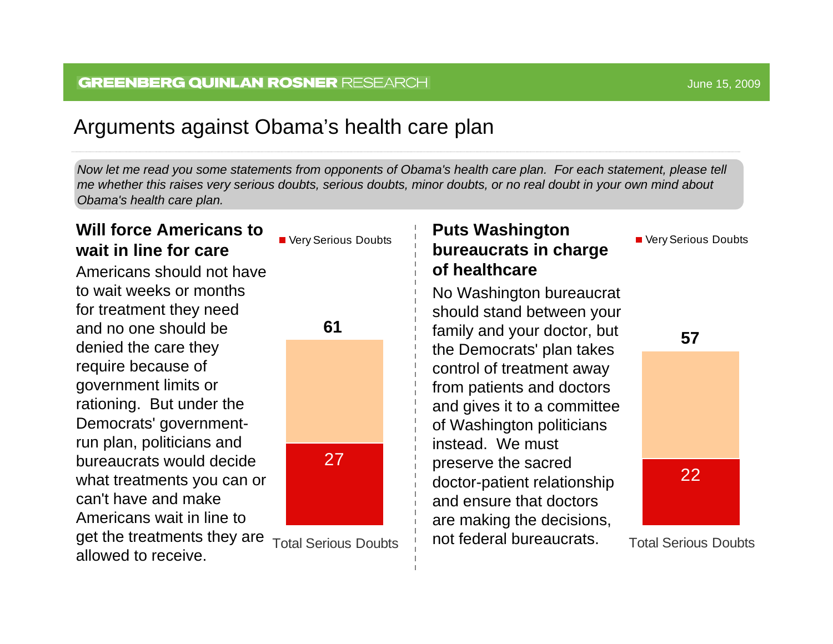### Arguments against Obama's health care plan

Now let me read you some statements from opponents of Obama's health care plan. For each statement, please tell *me whether this raises very serious doubts, serious doubts, minor doubts, or no real doubt in your o wn mind about Obama's health care plan.*

### **Will force Americans to wait in line for care**

Americans should not have to wait weeks or months for tre atme nt the y need and no one should be denied the care they require because of government limits or rationing. But under the Democrats' governmentrun plan, politicians and bureaucrats would decide what treatments you can or can't have and make Americans wait in line to get the treatments they are

![](_page_38_Picture_5.jpeg)

![](_page_38_Figure_6.jpeg)

27

Total Serious Doubtsallowed to receive.

### **Puts Washington bureaucrats in charge of healthcare**

No Washington bureaucrat shoul d stand between your family and your doctor, but the D emocrats' plan takes control of treatment away from patients and doctors and gives it to a committee of Washington politicians instead. We must preserve the sacred doctor-p atient rel ationship and ensure that doctors are making the decisions, not federal bureaucrats.

Very Serious D oubts

![](_page_38_Picture_12.jpeg)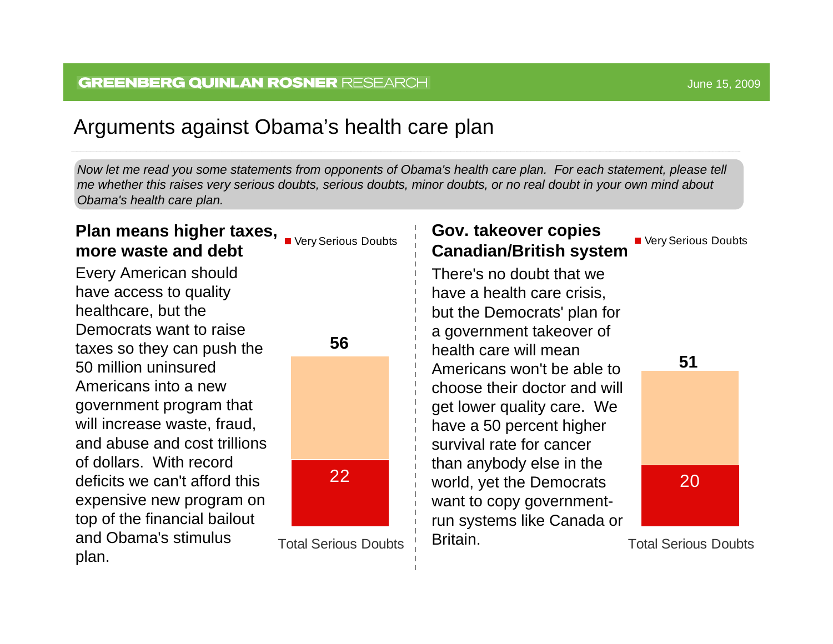### Arguments against Obama's health care plan

Now let me read you some statements from opponents of Obama's health care plan. For each statement, please tell *me whether this raises very serious doubts, serious doubts, minor doubts, or no real doubt in your o wn mind about Obama's health care plan.*

#### **Gov. takeover copies Canadian/British system** 20Total Serious DoubtsVery Serious D oubts**51**There's no doubt that we have a health care crisis, but the D emocrats' pla n for a government takeover of health care will mean Americans won't be able to choose their doctor and will get l ower quality care. We have a 50 percent higher survival rate for cancer than anybody else in the world, yet the Democrats want to copy governmentrun systems like Canada or Britain.**Plan means higher taxes,** Plan means higher taxes, Publis **more waste and debt**22Total Serious Doubts**56**Every American shoul d have access to quality healthc are, b ut the Democrats want to raise taxes so they can push the 50 million uninsured Americans into a new government program that will increase waste, fraud, and abuse and cost trillions of dollars. With record deficits we can't afford thisexpensive new program on top of the financi al bailout and Obama's sti mulus plan.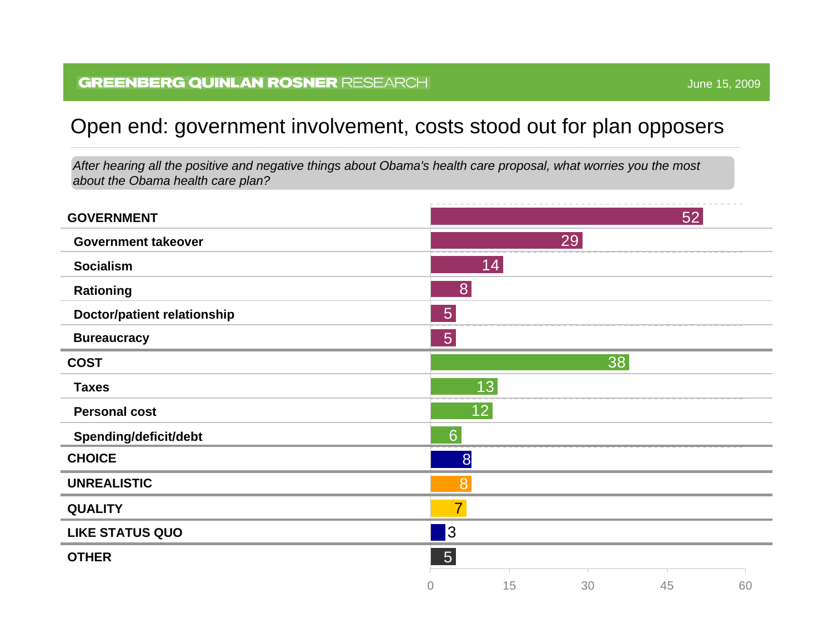### Open end: government involvement, costs stood out for plan opposers

*After hearing all the positive and negative things about Obama's health care proposal, what worries you the m ost about the Obama health care plan?*

| <b>GOVERNMENT</b>                  |                |    |    | 52 |    |
|------------------------------------|----------------|----|----|----|----|
| <b>Government takeover</b>         |                |    | 29 |    |    |
| <b>Socialism</b>                   |                | 14 |    |    |    |
| <b>Rationing</b>                   | 8              |    |    |    |    |
| <b>Doctor/patient relationship</b> | $\overline{5}$ |    |    |    |    |
| <b>Bureaucracy</b>                 | $\overline{5}$ |    |    |    |    |
| <b>COST</b>                        |                |    | 38 |    |    |
| <b>Taxes</b>                       |                | 13 |    |    |    |
| <b>Personal cost</b>               |                | 12 |    |    |    |
| Spending/deficit/debt              | $6\phantom{1}$ |    |    |    |    |
| <b>CHOICE</b>                      | 8              |    |    |    |    |
| <b>UNREALISTIC</b>                 | 8              |    |    |    |    |
| <b>QUALITY</b>                     | $\overline{7}$ |    |    |    |    |
| <b>LIKE STATUS QUO</b>             | 3              |    |    |    |    |
| <b>OTHER</b>                       | $\boxed{5}$    |    |    |    |    |
|                                    | 0              | 15 | 30 | 45 | 60 |